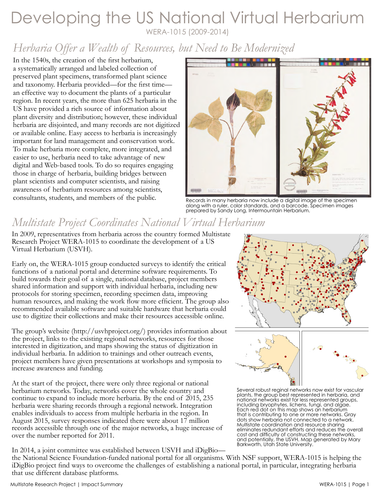### Developing the US National Virtual Herbarium WERA-1015 (2009-2014)

# *Herbaria Offer a Wealth of Resources, but Need to Be Modernized*

In the 1540s, the creation of the first herbarium, a systematically arranged and labeled collection of preserved plant specimens, transformed plant science and taxonomy. Herbaria provided—for the first time an effective way to document the plants of a particular region. In recent years, the more than 625 herbaria in the US have provided a rich source of information about plant diversity and distribution; however, these individual herbaria are disjointed, and many records are not digitized or available online. Easy access to herbaria is increasingly important for land management and conservation work. To make herbaria more complete, more integrated, and easier to use, herbaria need to take advantage of new digital and Web-based tools. To do so requires engaging those in charge of herbaria, building bridges between plant scientists and computer scientists, and raising awareness of herbarium resources among scientists, consultants, students, and members of the public.



Records in many herbaria now include a digital image of the specimen along with a ruler, color standards, and a barcode. Specimen images prepared by Sandy Long, Intermountain Herbarium.

# *Multistate Project Coordinates National Virtual Herbarium*

In 2009, representatives from herbaria across the country formed Multistate Research Project WERA-1015 to coordinate the development of a US Virtual Herbarium (USVH).

Early on, the WERA-1015 group conducted surveys to identify the critical functions of a national portal and determine software requirements. To build towards their goal of a single, national database, project members shared information and support with individual herbaria, including new protocols for storing specimen, recording specimen data, improving human resources, and making the work flow more efficient. The group also recommended available software and suitable hardware that herbaria could use to digitize their collections and make their resources accessible online.

The group's website (http://usvhproject.org/) provides information about the project, links to the existing regional networks, resources for those interested in digitization, and maps showing the status of digitization in individual herbaria. In addition to trainings and other outreach events, project members have given presentations at workshops and symposia to increase awareness and funding.

At the start of the project, there were only three regional or national herbarium networks. Today, networks cover the whole country and continue to expand to include more herbaria. By the end of 2015, 235 herbaria were sharing records through a regional network. Integration enables individuals to access from multiple herbaria in the region. In August 2015, survey responses indicated there were about 17 million records accessible through one of the major networks, a huge increase of over the number reported for 2011.

In 2014, a joint committee was established between USVH and iDigBio—



Several robust reginal networks now exist for vascular plants, the group best represented in herbaria, and national networks exist for less represented groups, including bryophytes, lichens, fungi, and algae. Each red dot on this map shows an herbarium that is contributing to one or more networks. Gray dots show herbaria not connected to a network. Multistate coordination and resource sharing eliminates redundant efforts and reduces the overall cost and difficulty of constructing these networks, and potentially, the USVH. Map generated by Mary Barkworth, Utah State University.

the National Science Foundation-funded national portal for all organisms. With NSF support, WERA-1015 is helping the iDigBio project find ways to overcome the challenges of establishing a national portal, in particular, integrating herbaria that use different database platforms.